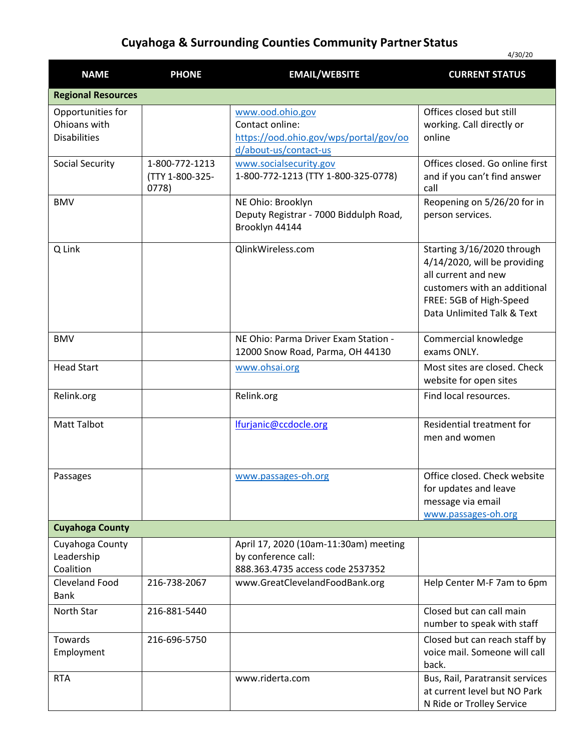## **Cuyahoga & Surrounding Counties Community Partner Status**

4/30/20

| <b>NAME</b>                                              | <b>PHONE</b>                               | <b>EMAIL/WEBSITE</b>                                                                                   | <b>CURRENT STATUS</b>                                                                                                                                                      |
|----------------------------------------------------------|--------------------------------------------|--------------------------------------------------------------------------------------------------------|----------------------------------------------------------------------------------------------------------------------------------------------------------------------------|
| <b>Regional Resources</b>                                |                                            |                                                                                                        |                                                                                                                                                                            |
| Opportunities for<br>Ohioans with<br><b>Disabilities</b> |                                            | www.ood.ohio.gov<br>Contact online:<br>https://ood.ohio.gov/wps/portal/gov/oo<br>d/about-us/contact-us | Offices closed but still<br>working. Call directly or<br>online                                                                                                            |
| <b>Social Security</b>                                   | 1-800-772-1213<br>(TTY 1-800-325-<br>0778) | www.socialsecurity.gov<br>1-800-772-1213 (TTY 1-800-325-0778)                                          | Offices closed. Go online first<br>and if you can't find answer<br>call                                                                                                    |
| <b>BMV</b>                                               |                                            | NE Ohio: Brooklyn<br>Deputy Registrar - 7000 Biddulph Road,<br>Brooklyn 44144                          | Reopening on 5/26/20 for in<br>person services.                                                                                                                            |
| Q Link                                                   |                                            | QlinkWireless.com                                                                                      | Starting 3/16/2020 through<br>4/14/2020, will be providing<br>all current and new<br>customers with an additional<br>FREE: 5GB of High-Speed<br>Data Unlimited Talk & Text |
| <b>BMV</b>                                               |                                            | NE Ohio: Parma Driver Exam Station -<br>12000 Snow Road, Parma, OH 44130                               | Commercial knowledge<br>exams ONLY.                                                                                                                                        |
| <b>Head Start</b>                                        |                                            | www.ohsai.org                                                                                          | Most sites are closed. Check<br>website for open sites                                                                                                                     |
| Relink.org                                               |                                            | Relink.org                                                                                             | Find local resources.                                                                                                                                                      |
| <b>Matt Talbot</b>                                       |                                            | lfurjanic@ccdocle.org                                                                                  | Residential treatment for<br>men and women                                                                                                                                 |
| Passages                                                 |                                            | www.passages-oh.org                                                                                    | Office closed. Check website<br>for updates and leave<br>message via email<br>www.passages-oh.org                                                                          |
| <b>Cuyahoga County</b>                                   |                                            |                                                                                                        |                                                                                                                                                                            |
| Cuyahoga County<br>Leadership<br>Coalition               |                                            | April 17, 2020 (10am-11:30am) meeting<br>by conference call:<br>888.363.4735 access code 2537352       |                                                                                                                                                                            |
| <b>Cleveland Food</b><br><b>Bank</b>                     | 216-738-2067                               | www.GreatClevelandFoodBank.org                                                                         | Help Center M-F 7am to 6pm                                                                                                                                                 |
| North Star                                               | 216-881-5440                               |                                                                                                        | Closed but can call main<br>number to speak with staff                                                                                                                     |
| Towards<br>Employment                                    | 216-696-5750                               |                                                                                                        | Closed but can reach staff by<br>voice mail. Someone will call<br>back.                                                                                                    |
| <b>RTA</b>                                               |                                            | www.riderta.com                                                                                        | Bus, Rail, Paratransit services<br>at current level but NO Park<br>N Ride or Trolley Service                                                                               |